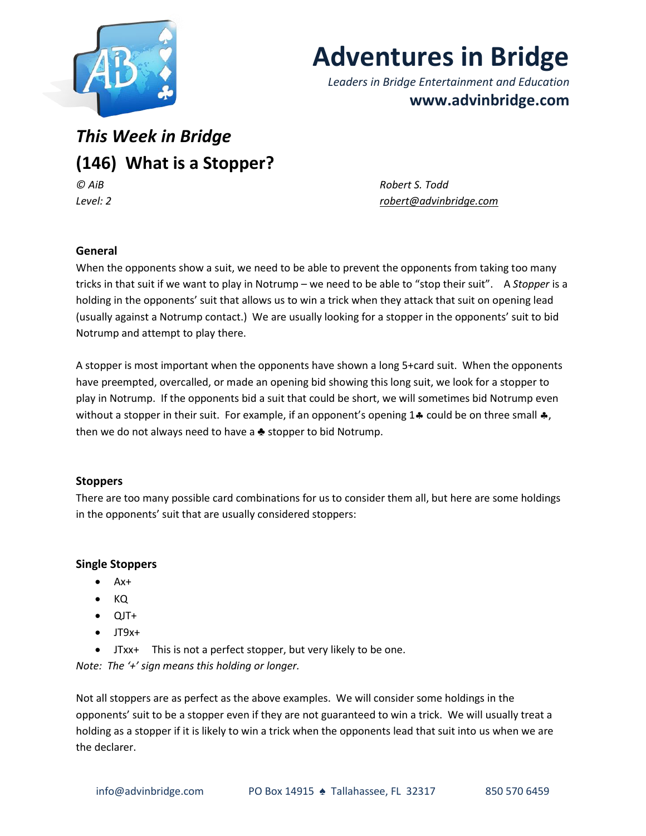

# **Adventures in Bridge**

*Leaders in Bridge Entertainment and Education* **www.advinbridge.com**

*This Week in Bridge* **(146) What is a Stopper?** *© AiB Robert S. Todd*

*Level: 2 [robert@advinbridge.com](mailto:robert@advinbridge.com)*

# **General**

When the opponents show a suit, we need to be able to prevent the opponents from taking too many tricks in that suit if we want to play in Notrump – we need to be able to "stop their suit". A *Stopper* is a holding in the opponents' suit that allows us to win a trick when they attack that suit on opening lead (usually against a Notrump contact.) We are usually looking for a stopper in the opponents' suit to bid Notrump and attempt to play there.

A stopper is most important when the opponents have shown a long 5+card suit. When the opponents have preempted, overcalled, or made an opening bid showing this long suit, we look for a stopper to play in Notrump. If the opponents bid a suit that could be short, we will sometimes bid Notrump even without a stopper in their suit. For example, if an opponent's opening 14 could be on three small  $\clubsuit$ , then we do not always need to have a  $\triangle$  stopper to bid Notrump.

## **Stoppers**

There are too many possible card combinations for us to consider them all, but here are some holdings in the opponents' suit that are usually considered stoppers:

## **Single Stoppers**

- Ax+
- KQ
- $\bullet$  QJT+
- $\bullet$  JT9x+
- JTxx+ This is not a perfect stopper, but very likely to be one.

*Note: The '+' sign means this holding or longer.*

Not all stoppers are as perfect as the above examples. We will consider some holdings in the opponents' suit to be a stopper even if they are not guaranteed to win a trick. We will usually treat a holding as a stopper if it is likely to win a trick when the opponents lead that suit into us when we are the declarer.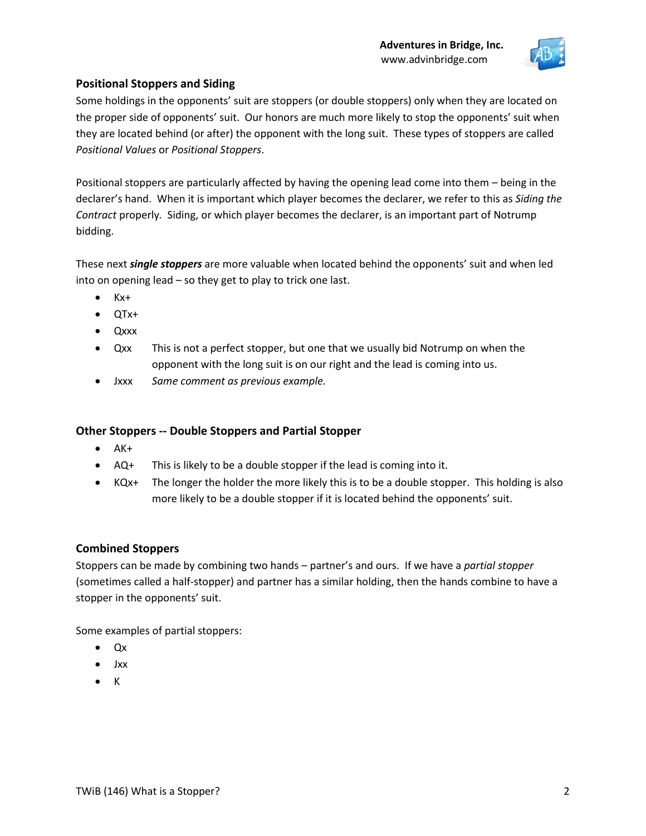

# **Positional Stoppers and Siding**

Some holdings in the opponents' suit are stoppers (or double stoppers) only when they are located on the proper side of opponents' suit. Our honors are much more likely to stop the opponents' suit when they are located behind (or after) the opponent with the long suit. These types of stoppers are called *Positional Values* or *Positional Stoppers*.

Positional stoppers are particularly affected by having the opening lead come into them – being in the declarer's hand. When it is important which player becomes the declarer, we refer to this as *Siding the Contract* properly*.* Siding, or which player becomes the declarer, is an important part of Notrump bidding.

These next *single stoppers* are more valuable when located behind the opponents' suit and when led into on opening lead – so they get to play to trick one last.

- $\bullet$   $Kx+$
- QTx+
- Qxxx
- Qxx This is not a perfect stopper, but one that we usually bid Notrump on when the opponent with the long suit is on our right and the lead is coming into us.
- Jxxx *Same comment as previous example.*

## **Other Stoppers -- Double Stoppers and Partial Stopper**

- $\bullet$  AK+
- AQ+ This is likely to be a double stopper if the lead is coming into it.
- $\bullet$  KQx+ The longer the holder the more likely this is to be a double stopper. This holding is also more likely to be a double stopper if it is located behind the opponents' suit.

## **Combined Stoppers**

Stoppers can be made by combining two hands – partner's and ours. If we have a *partial stopper* (sometimes called a half-stopper) and partner has a similar holding, then the hands combine to have a stopper in the opponents' suit.

Some examples of partial stoppers:

- Qx
- Jxx
- K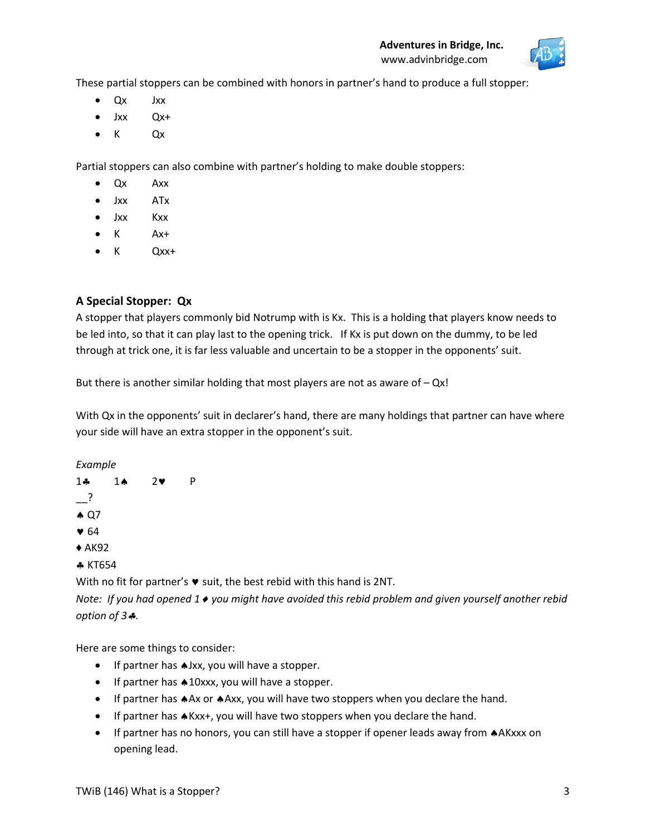

These partial stoppers can be combined with honors in partner's hand to produce a full stopper:

- Qx Jxx
- Jxx Qx+
- $\bullet$  K Qx

Partial stoppers can also combine with partner's holding to make double stoppers:

- Qx Axx
- Jxx ATx
- Jxx Kxx
- $\bullet$  K Ax+
- K Qxx+

# **A Special Stopper: Qx**

A stopper that players commonly bid Notrump with is Kx. This is a holding that players know needs to be led into, so that it can play last to the opening trick. If Kx is put down on the dummy, to be led through at trick one, it is far less valuable and uncertain to be a stopper in the opponents' suit.

But there is another similar holding that most players are not as aware of  $-$  Qx!

With Qx in the opponents' suit in declarer's hand, there are many holdings that partner can have where your side will have an extra stopper in the opponent's suit.

*Example* 



*Note: If you had opened 1 you might have avoided this rebid problem and given yourself another rebid option of 3.*

Here are some things to consider:

- If partner has  $\triangle$ Jxx, you will have a stopper.
- $\bullet$  If partner has  $\spadesuit 10$ xxx, you will have a stopper.
- If partner has AAx or AAxx, you will have two stoppers when you declare the hand.
- If partner has  $A$ Kxx+, you will have two stoppers when you declare the hand.
- If partner has no honors, you can still have a stopper if opener leads away from  $A$ AKxxx on opening lead.